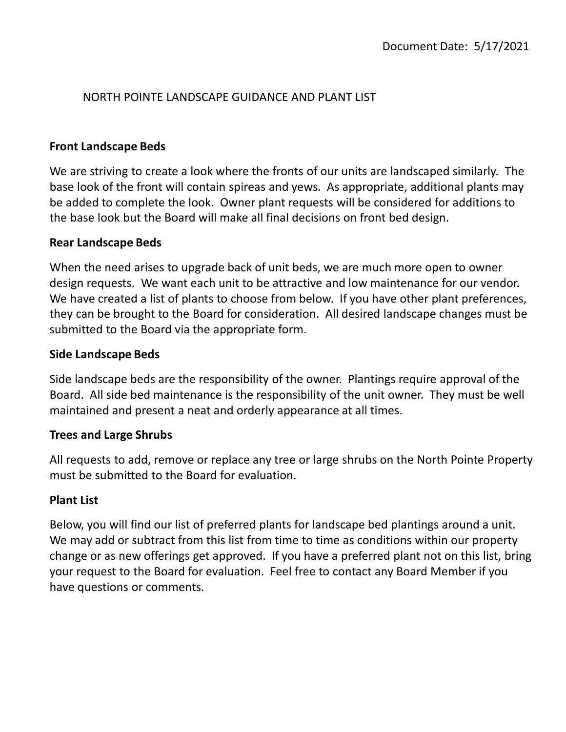# NORTH POINTE LANDSCAPE GUIDANCE AND PLANT LIST

## **Front Landscape Beds**

We are striving to create a look where the fronts of our units are landscaped similarly. The base look of the front will contain spireas and yews. As appropriate, additional plants may be added to complete the look. Owner plant requests will be considered for additions to the base look but the Board will make all final decisions on front bed design.

## **Rear Landscape Beds**

When the need arises to upgrade back of unit beds, we are much more open to owner design requests. We want each unit to be attractive and low maintenance for our vendor. We have created a list of plants to choose from below. If you have other plant preferences, they can be brought to the Board for consideration. All desired landscape changes must be submitted to the Board via the appropriate form.

## **Side Landscape Beds**

Side landscape beds are the responsibility of the owner. Plantings require approval of the Board. All side bed maintenance is the responsibility of the unit owner. They must be well maintained and present a neat and orderly appearance at all times.

### **Trees and Large Shrubs**

All requests to add, remove or replace any tree or large shrubs on the North Pointe Property must be submitted to the Board for evaluation.

### **Plant List**

Below, you will find our list of preferred plants for landscape bed plantings around a unit. We may add or subtract from this list from time to time as conditions within our property change or as new offerings get approved. If you have a preferred plant not on this list, bring your request to the Board for evaluation. Feel free to contact any Board Member if you have questions or comments.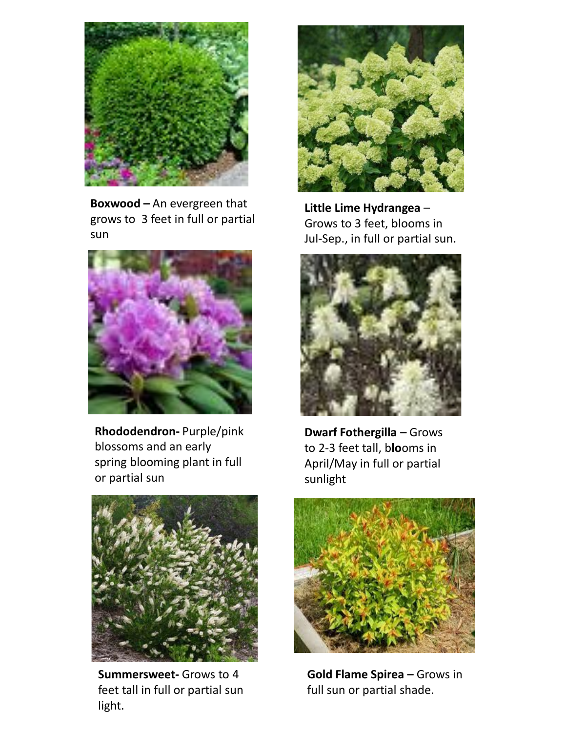

**Boxwood –** An evergreen that grows to 3 feet in full or partial sun



**Rhododendron-** Purple/pink blossoms and an early spring blooming plant in full or partial sun



**Summersweet-** Grows to 4 feet tall in full or partial sun light.



**Little Lime Hydrangea** – Grows to 3 feet, blooms in Jul-Sep., in full or partial sun.



**Dwarf Fothergilla –** Grows to 2-3 feet tall, b**lo**oms in April/May in full or partial sunlight



**Gold Flame Spirea –** Grows in full sun or partial shade.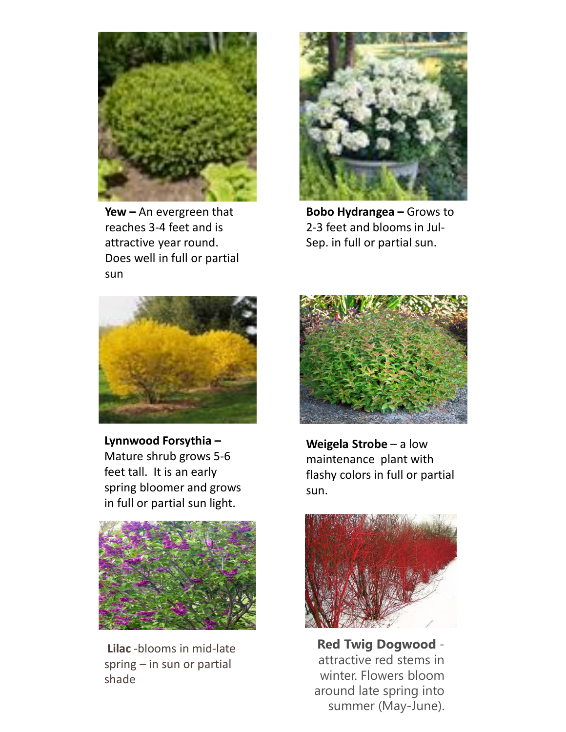

**Yew –** An evergreen that reaches 3-4 feet and is attractive year round. Does well in full or partial sun



**Bobo Hydrangea –** Grows to 2-3 feet and blooms in Jul-Sep. in full or partial sun.



**Lynnwood Forsythia –** Mature shrub grows 5-6 feet tall. It is an early spring bloomer and grows in full or partial sun light.



**Lilac** -blooms in mid-late spring – in sun or partial shade



**Weigela Strobe** – a low maintenance plant with flashy colors in full or partial sun.



**Red Twig Dogwood**  attractive red stems in winter. Flowers bloom around late spring into summer (May-June).